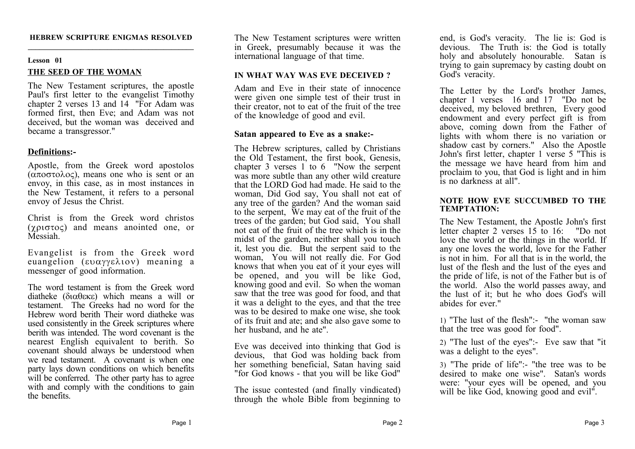#### **HEBREW SCRIPTURE ENIGMAS RESOLVED \_\_\_\_\_\_\_\_\_\_\_\_\_\_\_\_\_\_\_\_\_\_\_\_\_\_\_\_\_\_\_\_\_\_\_\_\_\_\_\_\_\_\_\_**

## **Lesson 01 THE SEED OF THE WOMAN**

The New Testament scriptures, the apostle Paul's first letter to the evangelist Timothy chapter 2 verses 13 and 14 "For Adam was formed first, then Eve; and Adam was not deceived, but the woman was deceived and became a transgressor."

# **Definitions:-**

Apostle, from the Greek word apostolos  $(\alpha \pi \omega \sigma \tau \omega \omega c)$ , means one who is sent or an envoy, in this case, as in most instances in the New Testament, it refers to a personal envoy of Jesus the Christ.

Christ is from the Greek word christos  $(\gamma \rho \sigma \tau o \varsigma)$  and means anointed one, or Messiah.

Evangelist is from the Greek word euangelion  $(\epsilon \nu \alpha \gamma \gamma \epsilon \lambda \nu)$  meaning a messenger of good information.

The word testament is from the Greek word diatheke ( $\delta$  $\alpha$  $\theta$  $\epsilon$  $\kappa$  $\epsilon$ ) which means a will or testament. The Greeks had no word for the Hebrew word berith Their word diatheke was used consistently in the Greek scriptures where berith was intended. The word covenant is the nearest English equivalent to berith. So covenant should always be understood when we read testament. A covenant is when one party lays down conditions on which benefits will be conferred. The other party has to agree with and comply with the conditions to gain the benefits.

The New Testament scriptures were written in Greek, presumably because it was the international language of that time.

# **IN WHAT WAY WAS EVE DECEIVED ?**

Adam and Eve in their state of innocence were given one simple test of their trust in their creator, not to eat of the fruit of the tree of the knowledge of good and evil.

## **Satan appeared to Eve as a snake:-**

The Hebrew scriptures, called by Christians the Old Testament, the first book, Genesis, chapter 3 verses  $1$  to 6 "Now the serpent was more subtle than any other wild creature that the LORD God had made. He said to the woman, Did God say, You shall not eat of any tree of the garden? And the woman said to the serpent, We may eat of the fruit of the trees of the garden; but God said, You shall not eat of the fruit of the tree which is in the midst of the garden, neither shall you touch it, lest you die. But the serpent said to the woman, You will not really die. For God knows that when you eat of it your eyes will be opened, and you will be like God, knowing good and evil. So when the woman saw that the tree was good for food, and that it was a delight to the eyes, and that the tree was to be desired to make one wise, she took of its fruit and ate; and she also gave some to her husband, and he ate".

Eve was deceived into thinking that God is devious, that God was holding back from her something beneficial, Satan having said "for God knows - that you will be like God"

The issue contested (and finally vindicated) through the whole Bible from beginning to end, is God's veracity. The lie is: God is devious. The Truth is: the God is totally holy and absolutely honourable. Satan is trying to gain supremacy by casting doubt on God's veracity

The Letter by the Lord's brother James, chapter 1 verses 16 and 17 "Do not be deceived, my beloved brethren, Every good endowment and every perfect gift is from above, coming down from the Father of lights with whom there is no variation or shadow cast by corners." Also the Apostle John's first letter, chapter 1 verse 5 "This is the message we have heard from him and proclaim to you, that God is light and in him is no darkness at all".

### **NOTE HOW EVE SUCCUMBED TO THE TEMPTATION:**

The New Testament, the Apostle John's first letter chapter 2 verses 15 to 16: "Do not love the world or the things in the world. If any one loves the world. love for the Father is not in him. For all that is in the world, the lust of the flesh and the lust of the eyes and the pride of life, is not of the Father but is of the world. Also the world passes away, and the lust of it; but he who does God's will abides for ever."

1) "The lust of the flesh":- "the woman saw that the tree was good for food".

2) "The lust of the eyes":- Eve saw that "it was a delight to the eyes".

3) "The pride of life":- "the tree was to be desired to make one wise". Satan's words were: "your eyes will be opened, and you will be like God, knowing good and evil".